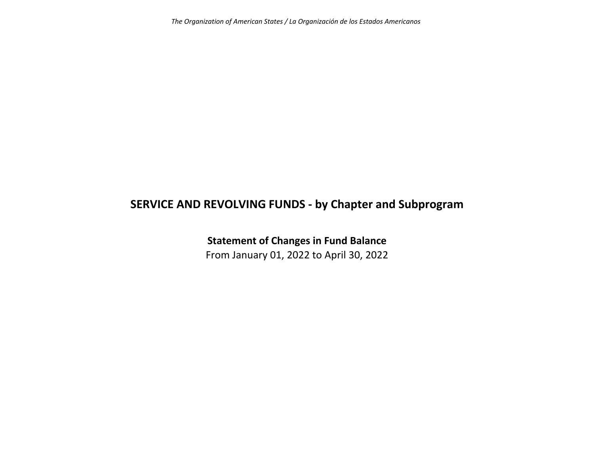*The Organization of American States / La Organización de los Estados Americanos*

## **SERVICE AND REVOLVING FUNDS ‐ by Chapter and Subprogram**

**Statement of Changes in Fund Balance**

From January 01, 2022 to April 30, 2022